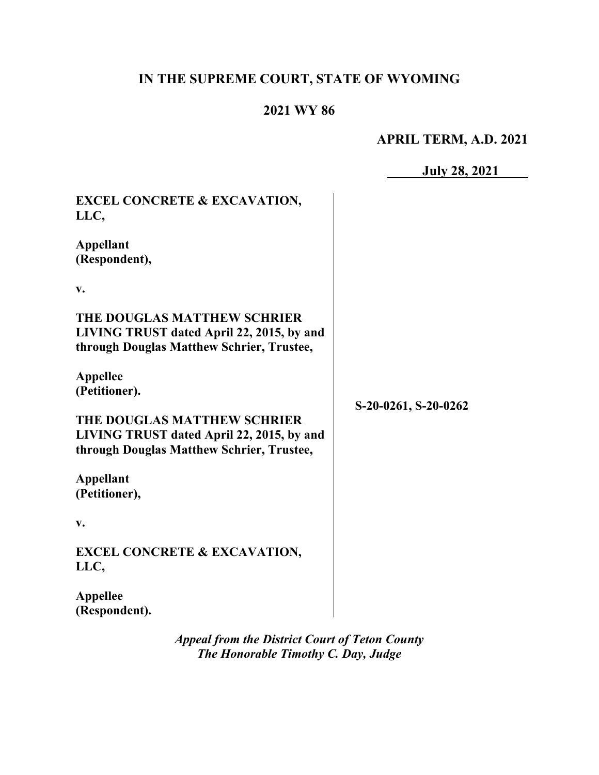# **IN THE SUPREME COURT, STATE OF WYOMING**

# **2021 WY 86**

# **APRIL TERM, A.D. 2021**

**July 28, 2021**

| <b>EXCEL CONCRETE &amp; EXCAVATION,</b>                                                                               |                      |
|-----------------------------------------------------------------------------------------------------------------------|----------------------|
| LLC,                                                                                                                  |                      |
| <b>Appellant</b><br>(Respondent),                                                                                     |                      |
| v.                                                                                                                    |                      |
| THE DOUGLAS MATTHEW SCHRIER<br>LIVING TRUST dated April 22, 2015, by and<br>through Douglas Matthew Schrier, Trustee, |                      |
| <b>Appellee</b><br>(Petitioner).                                                                                      | S-20-0261, S-20-0262 |
| THE DOUGLAS MATTHEW SCHRIER<br>LIVING TRUST dated April 22, 2015, by and<br>through Douglas Matthew Schrier, Trustee, |                      |
| <b>Appellant</b><br>(Petitioner),                                                                                     |                      |
| V.                                                                                                                    |                      |
| <b>EXCEL CONCRETE &amp; EXCAVATION,</b><br>LLC,                                                                       |                      |
| <b>Appellee</b><br>(Respondent).                                                                                      |                      |

*Appeal from the District Court of Teton County The Honorable Timothy C. Day, Judge*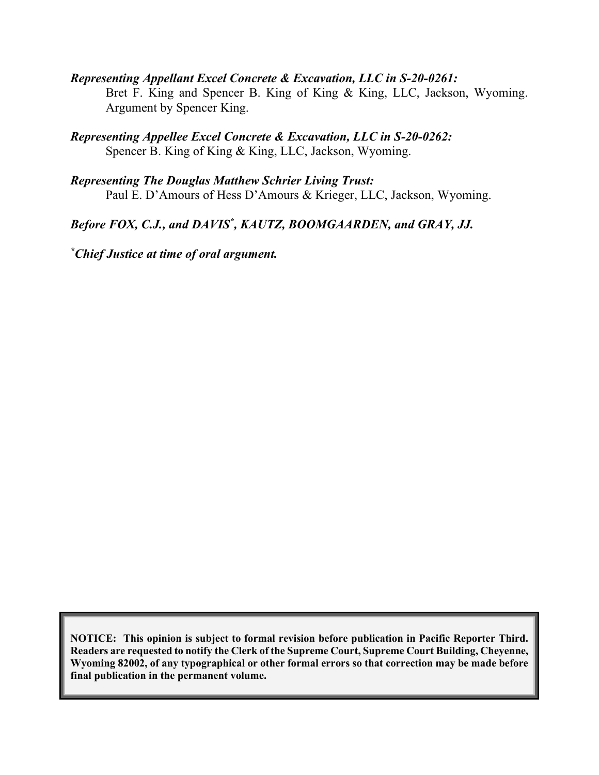*Representing Appellant Excel Concrete & Excavation, LLC in S-20-0261:* Bret F. King and Spencer B. King of King & King, LLC, Jackson, Wyoming. Argument by Spencer King.

*Representing Appellee Excel Concrete & Excavation, LLC in S-20-0262:* Spencer B. King of King & King, LLC, Jackson, Wyoming.

*Representing The Douglas Matthew Schrier Living Trust:* Paul E. D'Amours of Hess D'Amours & Krieger, LLC, Jackson, Wyoming.

Before FOX, C.J., and DAVIS<sup>\*</sup>, KAUTZ, BOOMGAARDEN, and GRAY, JJ.

*\* Chief Justice at time of oral argument.*

**NOTICE: This opinion is subject to formal revision before publication in Pacific Reporter Third. Readers are requested to notify the Clerk of the Supreme Court, Supreme Court Building, Cheyenne, Wyoming 82002, of any typographical or other formal errors so that correction may be made before final publication in the permanent volume.**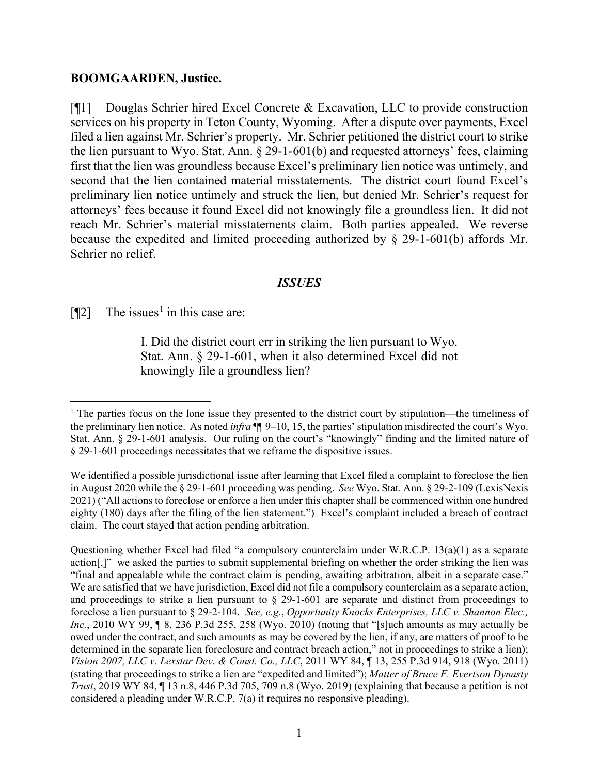#### **BOOMGAARDEN, Justice.**

[¶1] Douglas Schrier hired Excel Concrete & Excavation, LLC to provide construction services on his property in Teton County, Wyoming. After a dispute over payments, Excel filed a lien against Mr. Schrier's property. Mr. Schrier petitioned the district court to strike the lien pursuant to Wyo. Stat. Ann. § 29-1-601(b) and requested attorneys' fees, claiming first that the lien was groundless because Excel's preliminary lien notice was untimely, and second that the lien contained material misstatements. The district court found Excel's preliminary lien notice untimely and struck the lien, but denied Mr. Schrier's request for attorneys' fees because it found Excel did not knowingly file a groundless lien. It did not reach Mr. Schrier's material misstatements claim. Both parties appealed. We reverse because the expedited and limited proceeding authorized by § 29-1-601(b) affords Mr. Schrier no relief.

#### *ISSUES*

 $[$ [[2] The issues<sup>[1](#page-2-0)</sup> in this case are:

I. Did the district court err in striking the lien pursuant to Wyo. Stat. Ann. § 29-1-601, when it also determined Excel did not knowingly file a groundless lien?

<span id="page-2-0"></span><sup>&</sup>lt;sup>1</sup> The parties focus on the lone issue they presented to the district court by stipulation—the timeliness of the preliminary lien notice. As noted *infra* ¶¶ 9–10, 15, the parties' stipulation misdirected the court's Wyo. Stat. Ann. § 29-1-601 analysis. Our ruling on the court's "knowingly" finding and the limited nature of § 29-1-601 proceedings necessitates that we reframe the dispositive issues.

We identified a possible jurisdictional issue after learning that Excel filed a complaint to foreclose the lien in August 2020 while the § 29-1-601 proceeding was pending. *See* Wyo. Stat. Ann. § 29-2-109 (LexisNexis 2021) ("All actions to foreclose or enforce a lien under this chapter shall be commenced within one hundred eighty (180) days after the filing of the lien statement.") Excel's complaint included a breach of contract claim. The court stayed that action pending arbitration.

Questioning whether Excel had filed "a compulsory counterclaim under W.R.C.P. 13(a)(1) as a separate action[,]" we asked the parties to submit supplemental briefing on whether the order striking the lien was "final and appealable while the contract claim is pending, awaiting arbitration, albeit in a separate case." We are satisfied that we have jurisdiction, Excel did not file a compulsory counterclaim as a separate action, and proceedings to strike a lien pursuant to § 29-1-601 are separate and distinct from proceedings to foreclose a lien pursuant to § 29-2-104. *See, e.g.*, *Opportunity Knocks Enterprises, LLC v. Shannon Elec., Inc.*, 2010 WY 99, ¶ 8, 236 P.3d 255, 258 (Wyo. 2010) (noting that "[s]uch amounts as may actually be owed under the contract, and such amounts as may be covered by the lien, if any, are matters of proof to be determined in the separate lien foreclosure and contract breach action," not in proceedings to strike a lien); *Vision 2007, LLC v. Lexstar Dev. & Const. Co., LLC*, 2011 WY 84, ¶ 13, 255 P.3d 914, 918 (Wyo. 2011) (stating that proceedings to strike a lien are "expedited and limited"); *Matter of Bruce F. Evertson Dynasty Trust*, 2019 WY 84, ¶ 13 n.8, 446 P.3d 705, 709 n.8 (Wyo. 2019) (explaining that because a petition is not considered a pleading under W.R.C.P. 7(a) it requires no responsive pleading).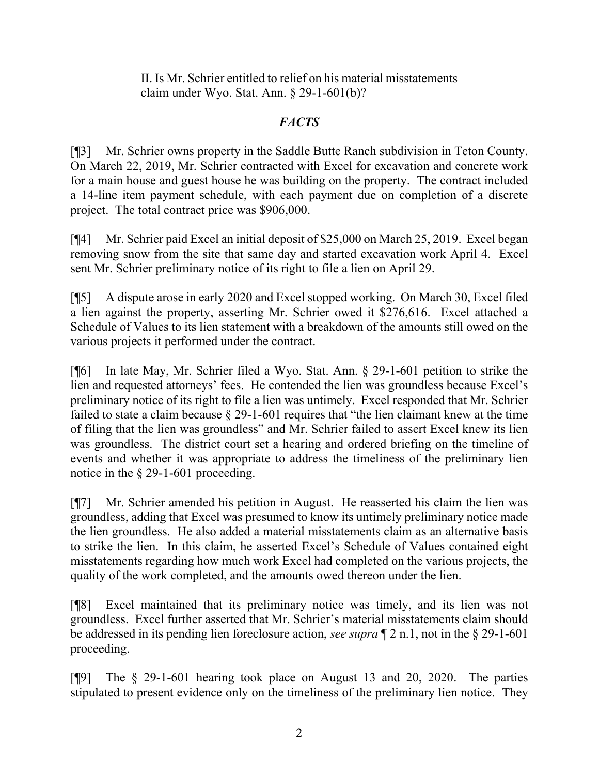II. Is Mr. Schrier entitled to relief on his material misstatements claim under Wyo. Stat. Ann. § 29-1-601(b)?

# *FACTS*

[¶3] Mr. Schrier owns property in the Saddle Butte Ranch subdivision in Teton County. On March 22, 2019, Mr. Schrier contracted with Excel for excavation and concrete work for a main house and guest house he was building on the property. The contract included a 14-line item payment schedule, with each payment due on completion of a discrete project. The total contract price was \$906,000.

[¶4] Mr. Schrier paid Excel an initial deposit of \$25,000 on March 25, 2019. Excel began removing snow from the site that same day and started excavation work April 4. Excel sent Mr. Schrier preliminary notice of its right to file a lien on April 29.

[¶5] A dispute arose in early 2020 and Excel stopped working. On March 30, Excel filed a lien against the property, asserting Mr. Schrier owed it \$276,616. Excel attached a Schedule of Values to its lien statement with a breakdown of the amounts still owed on the various projects it performed under the contract.

[¶6] In late May, Mr. Schrier filed a Wyo. Stat. Ann. § 29-1-601 petition to strike the lien and requested attorneys' fees. He contended the lien was groundless because Excel's preliminary notice of its right to file a lien was untimely. Excel responded that Mr. Schrier failed to state a claim because § 29-1-601 requires that "the lien claimant knew at the time of filing that the lien was groundless" and Mr. Schrier failed to assert Excel knew its lien was groundless. The district court set a hearing and ordered briefing on the timeline of events and whether it was appropriate to address the timeliness of the preliminary lien notice in the § 29-1-601 proceeding.

[¶7] Mr. Schrier amended his petition in August. He reasserted his claim the lien was groundless, adding that Excel was presumed to know its untimely preliminary notice made the lien groundless. He also added a material misstatements claim as an alternative basis to strike the lien. In this claim, he asserted Excel's Schedule of Values contained eight misstatements regarding how much work Excel had completed on the various projects, the quality of the work completed, and the amounts owed thereon under the lien.

[¶8] Excel maintained that its preliminary notice was timely, and its lien was not groundless. Excel further asserted that Mr. Schrier's material misstatements claim should be addressed in its pending lien foreclosure action, *see supra* ¶ 2 n.1, not in the § 29-1-601 proceeding.

[¶9] The § 29-1-601 hearing took place on August 13 and 20, 2020. The parties stipulated to present evidence only on the timeliness of the preliminary lien notice. They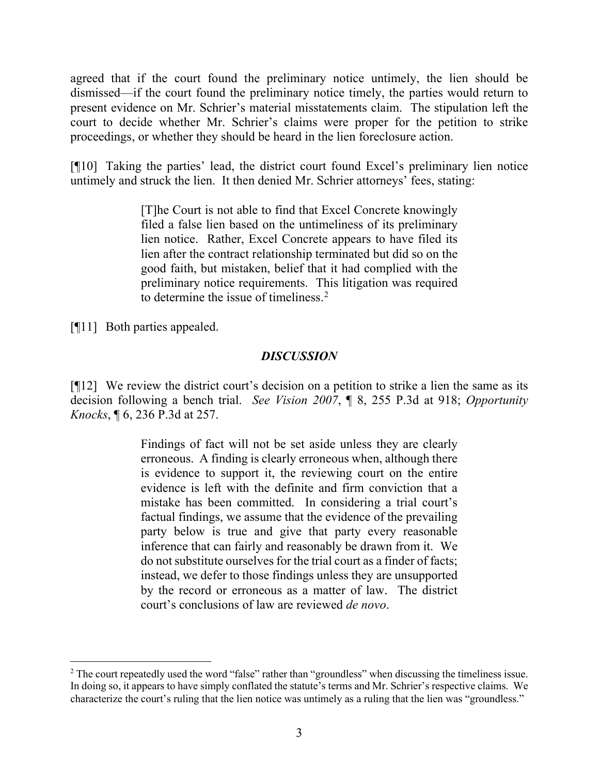agreed that if the court found the preliminary notice untimely, the lien should be dismissed—if the court found the preliminary notice timely, the parties would return to present evidence on Mr. Schrier's material misstatements claim. The stipulation left the court to decide whether Mr. Schrier's claims were proper for the petition to strike proceedings, or whether they should be heard in the lien foreclosure action.

[¶10] Taking the parties' lead, the district court found Excel's preliminary lien notice untimely and struck the lien. It then denied Mr. Schrier attorneys' fees, stating:

> [T]he Court is not able to find that Excel Concrete knowingly filed a false lien based on the untimeliness of its preliminary lien notice. Rather, Excel Concrete appears to have filed its lien after the contract relationship terminated but did so on the good faith, but mistaken, belief that it had complied with the preliminary notice requirements. This litigation was required to determine the issue of timeliness.<sup>[2](#page-4-0)</sup>

[¶11] Both parties appealed.

### *DISCUSSION*

[¶12] We review the district court's decision on a petition to strike a lien the same as its decision following a bench trial. *See Vision 2007*, ¶ 8, 255 P.3d at 918; *Opportunity Knocks*, ¶ 6, 236 P.3d at 257.

> Findings of fact will not be set aside unless they are clearly erroneous. A finding is clearly erroneous when, although there is evidence to support it, the reviewing court on the entire evidence is left with the definite and firm conviction that a mistake has been committed. In considering a trial court's factual findings, we assume that the evidence of the prevailing party below is true and give that party every reasonable inference that can fairly and reasonably be drawn from it. We do not substitute ourselves for the trial court as a finder of facts; instead, we defer to those findings unless they are unsupported by the record or erroneous as a matter of law. The district court's conclusions of law are reviewed *de novo*.

<span id="page-4-0"></span><sup>&</sup>lt;sup>2</sup> The court repeatedly used the word "false" rather than "groundless" when discussing the timeliness issue. In doing so, it appears to have simply conflated the statute's terms and Mr. Schrier's respective claims. We characterize the court's ruling that the lien notice was untimely as a ruling that the lien was "groundless."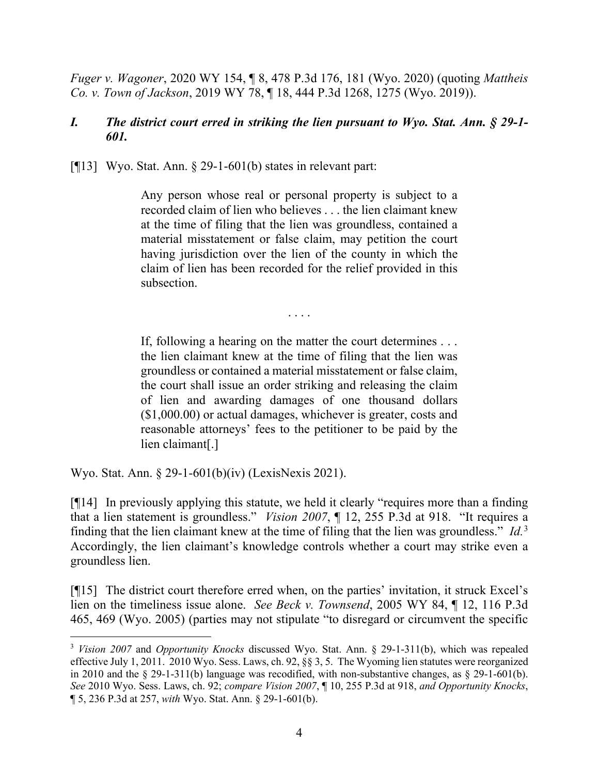*Fuger v. Wagoner*, 2020 WY 154, ¶ 8, 478 P.3d 176, 181 (Wyo. 2020) (quoting *Mattheis Co. v. Town of Jackson*, 2019 WY 78, ¶ 18, 444 P.3d 1268, 1275 (Wyo. 2019)).

### *I. The district court erred in striking the lien pursuant to Wyo. Stat. Ann. § 29-1- 601.*

[ $[13]$ ] Wyo. Stat. Ann. § 29-1-601(b) states in relevant part:

Any person whose real or personal property is subject to a recorded claim of lien who believes . . . the lien claimant knew at the time of filing that the lien was groundless, contained a material misstatement or false claim, may petition the court having jurisdiction over the lien of the county in which the claim of lien has been recorded for the relief provided in this subsection.

. . . .

If, following a hearing on the matter the court determines . . . the lien claimant knew at the time of filing that the lien was groundless or contained a material misstatement or false claim, the court shall issue an order striking and releasing the claim of lien and awarding damages of one thousand dollars (\$1,000.00) or actual damages, whichever is greater, costs and reasonable attorneys' fees to the petitioner to be paid by the lien claimant[.]

Wyo. Stat. Ann. § 29-1-601(b)(iv) (LexisNexis 2021).

[¶14] In previously applying this statute, we held it clearly "requires more than a finding that a lien statement is groundless." *Vision 2007*, ¶ 12, 255 P.3d at 918. "It requires a finding that the lien claimant knew at the time of filing that the lien was groundless." *Id.*[3](#page-5-0) Accordingly, the lien claimant's knowledge controls whether a court may strike even a groundless lien.

[¶15] The district court therefore erred when, on the parties' invitation, it struck Excel's lien on the timeliness issue alone. *See Beck v. Townsend*, 2005 WY 84, ¶ 12, 116 P.3d 465, 469 (Wyo. 2005) (parties may not stipulate "to disregard or circumvent the specific

<span id="page-5-0"></span><sup>3</sup> *Vision 2007* and *Opportunity Knocks* discussed Wyo. Stat. Ann. § 29-1-311(b), which was repealed effective July 1, 2011. 2010 Wyo. Sess. Laws, ch. 92, §§ 3, 5. The Wyoming lien statutes were reorganized in 2010 and the  $\S$  29-1-311(b) language was recodified, with non-substantive changes, as  $\S$  29-1-601(b). *See* 2010 Wyo. Sess. Laws, ch. 92; *compare Vision 2007*, ¶ 10, 255 P.3d at 918, *and Opportunity Knocks*, ¶ 5, 236 P.3d at 257, *with* Wyo. Stat. Ann. § 29-1-601(b).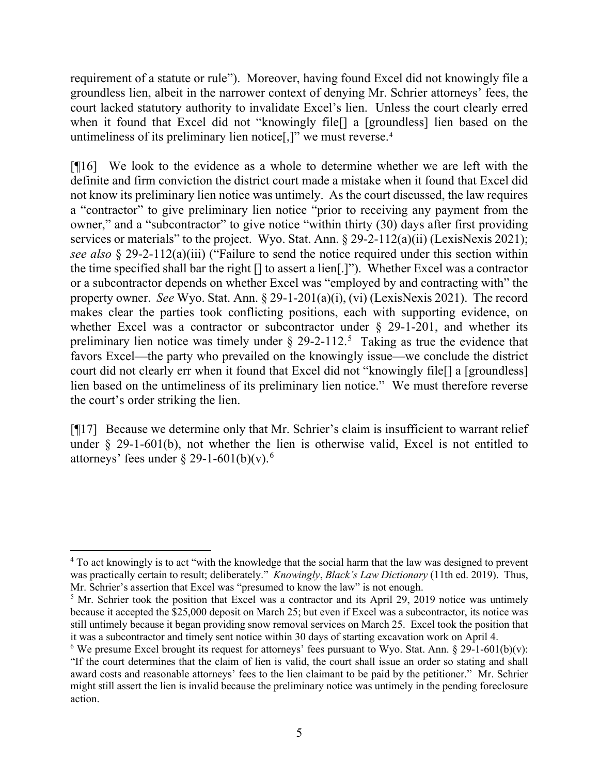requirement of a statute or rule"). Moreover, having found Excel did not knowingly file a groundless lien, albeit in the narrower context of denying Mr. Schrier attorneys' fees, the court lacked statutory authority to invalidate Excel's lien. Unless the court clearly erred when it found that Excel did not "knowingly file[] a [groundless] lien based on the untimeliness of its preliminary lien notice[,]" we must reverse. [4](#page-6-0)

[¶16] We look to the evidence as a whole to determine whether we are left with the definite and firm conviction the district court made a mistake when it found that Excel did not know its preliminary lien notice was untimely. As the court discussed, the law requires a "contractor" to give preliminary lien notice "prior to receiving any payment from the owner," and a "subcontractor" to give notice "within thirty (30) days after first providing services or materials" to the project. Wyo. Stat. Ann.  $\frac{29-2-112(a)(ii)}{LexisNexis 2021}$ ; *see also* § 29-2-112(a)(iii) ("Failure to send the notice required under this section within the time specified shall bar the right [] to assert a lien[.]"). Whether Excel was a contractor or a subcontractor depends on whether Excel was "employed by and contracting with" the property owner. *See* Wyo. Stat. Ann. § 29-1-201(a)(i), (vi) (LexisNexis 2021). The record makes clear the parties took conflicting positions, each with supporting evidence, on whether Excel was a contractor or subcontractor under  $\S$  29-1-201, and whether its preliminary lien notice was timely under  $\S 29-2-112$ .<sup>[5](#page-6-1)</sup> Taking as true the evidence that favors Excel—the party who prevailed on the knowingly issue—we conclude the district court did not clearly err when it found that Excel did not "knowingly file[] a [groundless] lien based on the untimeliness of its preliminary lien notice." We must therefore reverse the court's order striking the lien.

[¶17] Because we determine only that Mr. Schrier's claim is insufficient to warrant relief under § 29-1-601(b), not whether the lien is otherwise valid, Excel is not entitled to attorneys' fees under  $\S 29-1-601(b)(v)$  $\S 29-1-601(b)(v)$  $\S 29-1-601(b)(v)$ .<sup>6</sup>

<span id="page-6-0"></span><sup>&</sup>lt;sup>4</sup> To act knowingly is to act "with the knowledge that the social harm that the law was designed to prevent was practically certain to result; deliberately." *Knowingly*, *Black's Law Dictionary* (11th ed. 2019). Thus, Mr. Schrier's assertion that Excel was "presumed to know the law" is not enough.

<span id="page-6-1"></span><sup>&</sup>lt;sup>5</sup> Mr. Schrier took the position that Excel was a contractor and its April 29, 2019 notice was untimely because it accepted the \$25,000 deposit on March 25; but even if Excel was a subcontractor, its notice was still untimely because it began providing snow removal services on March 25. Excel took the position that it was a subcontractor and timely sent notice within 30 days of starting excavation work on April 4.

<span id="page-6-2"></span><sup>&</sup>lt;sup>6</sup> We presume Excel brought its request for attorneys' fees pursuant to Wyo. Stat. Ann.  $\S 29$ -1-601(b)(v): "If the court determines that the claim of lien is valid, the court shall issue an order so stating and shall award costs and reasonable attorneys' fees to the lien claimant to be paid by the petitioner." Mr. Schrier might still assert the lien is invalid because the preliminary notice was untimely in the pending foreclosure action.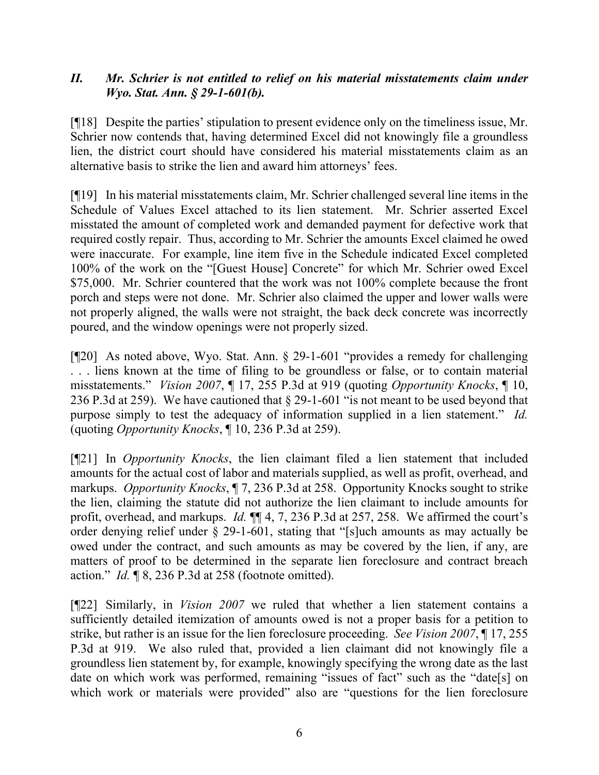### *II. Mr. Schrier is not entitled to relief on his material misstatements claim under Wyo. Stat. Ann. § 29-1-601(b).*

[¶18] Despite the parties' stipulation to present evidence only on the timeliness issue, Mr. Schrier now contends that, having determined Excel did not knowingly file a groundless lien, the district court should have considered his material misstatements claim as an alternative basis to strike the lien and award him attorneys' fees.

[¶19] In his material misstatements claim, Mr. Schrier challenged several line items in the Schedule of Values Excel attached to its lien statement. Mr. Schrier asserted Excel misstated the amount of completed work and demanded payment for defective work that required costly repair. Thus, according to Mr. Schrier the amounts Excel claimed he owed were inaccurate. For example, line item five in the Schedule indicated Excel completed 100% of the work on the "[Guest House] Concrete" for which Mr. Schrier owed Excel \$75,000. Mr. Schrier countered that the work was not 100% complete because the front porch and steps were not done. Mr. Schrier also claimed the upper and lower walls were not properly aligned, the walls were not straight, the back deck concrete was incorrectly poured, and the window openings were not properly sized.

[¶20] As noted above, Wyo. Stat. Ann. § 29-1-601 "provides a remedy for challenging . . . liens known at the time of filing to be groundless or false, or to contain material misstatements." *Vision 2007*, ¶ 17, 255 P.3d at 919 (quoting *Opportunity Knocks*, ¶ 10, 236 P.3d at 259). We have cautioned that § 29-1-601 "is not meant to be used beyond that purpose simply to test the adequacy of information supplied in a lien statement." *Id.* (quoting *Opportunity Knocks*, ¶ 10, 236 P.3d at 259).

[¶21] In *Opportunity Knocks*, the lien claimant filed a lien statement that included amounts for the actual cost of labor and materials supplied, as well as profit, overhead, and markups. *Opportunity Knocks*, ¶ 7, 236 P.3d at 258. Opportunity Knocks sought to strike the lien, claiming the statute did not authorize the lien claimant to include amounts for profit, overhead, and markups. *Id.* ¶¶ 4, 7, 236 P.3d at 257, 258. We affirmed the court's order denying relief under  $\S$  29-1-601, stating that "[s]uch amounts as may actually be owed under the contract, and such amounts as may be covered by the lien, if any, are matters of proof to be determined in the separate lien foreclosure and contract breach action." *Id.* ¶ 8, 236 P.3d at 258 (footnote omitted).

[¶22] Similarly, in *Vision 2007* we ruled that whether a lien statement contains a sufficiently detailed itemization of amounts owed is not a proper basis for a petition to strike, but rather is an issue for the lien foreclosure proceeding. *See Vision 2007*, ¶ 17, 255 P.3d at 919. We also ruled that, provided a lien claimant did not knowingly file a groundless lien statement by, for example, knowingly specifying the wrong date as the last date on which work was performed, remaining "issues of fact" such as the "date[s] on which work or materials were provided" also are "questions for the lien foreclosure